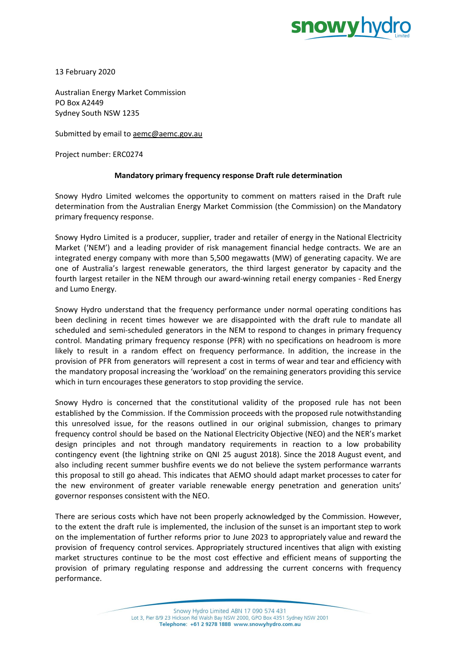

13 February 2020

Australian Energy Market Commission PO Box A2449 Sydney South NSW 1235

Submitted by email to [aemc@aemc.gov.au](mailto:aemc@aemc.gov.au)

Project number: ERC0274

### **Mandatory primary frequency response Draft rule determination**

Snowy Hydro Limited welcomes the opportunity to comment on matters raised in the Draft rule determination from the Australian Energy Market Commission (the Commission) on the Mandatory primary frequency response.

Snowy Hydro Limited is a producer, supplier, trader and retailer of energy in the National Electricity Market ('NEM') and a leading provider of risk management financial hedge contracts. We are an integrated energy company with more than 5,500 megawatts (MW) of generating capacity. We are one of Australia's largest renewable generators, the third largest generator by capacity and the fourth largest retailer in the NEM through our award-winning retail energy companies - Red Energy and Lumo Energy.

Snowy Hydro understand that the frequency performance under normal operating conditions has been declining in recent times however we are disappointed with the draft rule to mandate all scheduled and semi-scheduled generators in the NEM to respond to changes in primary frequency control. Mandating primary frequency response (PFR) with no specifications on headroom is more likely to result in a random effect on frequency performance. In addition, the increase in the provision of PFR from generators will represent a cost in terms of wear and tear and efficiency with the mandatory proposal increasing the 'workload' on the remaining generators providing this service which in turn encourages these generators to stop providing the service.

Snowy Hydro is concerned that the constitutional validity of the proposed rule has not been established by the Commission. If the Commission proceeds with the proposed rule notwithstanding this unresolved issue, for the reasons outlined in our original submission, changes to primary frequency control should be based on the National Electricity Objective (NEO) and the NER's market design principles and not through mandatory requirements in reaction to a low probability contingency event (the lightning strike on QNI 25 august 2018). Since the 2018 August event, and also including recent summer bushfire events we do not believe the system performance warrants this proposal to still go ahead. This indicates that AEMO should adapt market processes to cater for the new environment of greater variable renewable energy penetration and generation units' governor responses consistent with the NEO.

There are serious costs which have not been properly acknowledged by the Commission. However, to the extent the draft rule is implemented, the inclusion of the sunset is an important step to work on the implementation of further reforms prior to June 2023 to appropriately value and reward the provision of frequency control services. Appropriately structured incentives that align with existing market structures continue to be the most cost effective and efficient means of supporting the provision of primary regulating response and addressing the current concerns with frequency performance.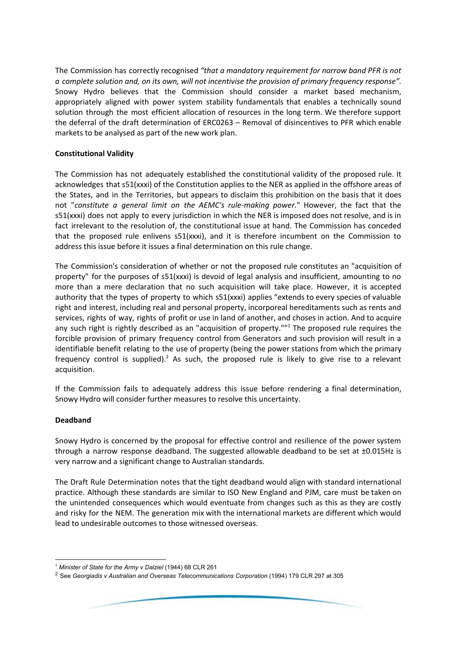The Commission has correctly recognised *"that a mandatory requirement for narrow band PFR is not a complete solution and, on its own, will not incentivise the provision of primary frequency response".* Snowy Hydro believes that the Commission should consider a market based mechanism, appropriately aligned with power system stability fundamentals that enables a technically sound solution through the most efficient allocation of resources in the long term. We therefore support the deferral of the draft determination of ERC0263 – Removal of disincentives to PFR which enable markets to be analysed as part of the new work plan.

# **Constitutional Validity**

The Commission has not adequately established the constitutional validity of the proposed rule. It acknowledges that s51(xxxi) of the Constitution applies to the NER as applied in the offshore areas of the States, and in the Territories, but appears to disclaim this prohibition on the basis that it does not "*constitute a general limit on the AEMC's rule-making power*." However, the fact that the s51(xxxi) does not apply to every jurisdiction in which the NER is imposed does not resolve, and is in fact irrelevant to the resolution of, the constitutional issue at hand. The Commission has conceded that the proposed rule enlivens s51(xxxi), and it is therefore incumbent on the Commission to address this issue before it issues a final determination on this rule change.

The Commission's consideration of whether or not the proposed rule constitutes an "acquisition of property" for the purposes of s51(xxxi) is devoid of legal analysis and insufficient, amounting to no more than a mere declaration that no such acquisition will take place. However, it is accepted authority that the types of property to which s51(xxxi) applies "extends to every species of valuable right and interest, including real and personal property, incorporeal hereditaments such as rents and services, rights of way, rights of profit or use in land of another, and choses in action. And to acquire any such right is rightly described as an "acquisition of property.""<sup>1</sup> The proposed rule requires the forcible provision of primary frequency control from Generators and such provision will result in a identifiable benefit relating to the use of property (being the power stations from which the primary frequency control is supplied).<sup>2</sup> As such, the proposed rule is likely to give rise to a relevant acquisition.

If the Commission fails to adequately address this issue before rendering a final determination, Snowy Hydro will consider further measures to resolve this uncertainty.

### **Deadband**

Snowy Hydro is concerned by the proposal for effective control and resilience of the power system through a narrow response deadband. The suggested allowable deadband to be set at ±0.015Hz is very narrow and a significant change to Australian standards.

The Draft Rule Determination notes that the tight deadband would align with standard international practice. Although these standards are similar to ISO New England and PJM, care must be taken on the unintended consequences which would eventuate from changes such as this as they are costly and risky for the NEM. The generation mix with the international markets are different which would lead to undesirable outcomes to those witnessed overseas.

<sup>1</sup> *Minister of State for the Army v Dalziel* (1944) 68 CLR 261

<sup>2</sup> See *Georgiadis v Australian and Overseas Telecommunications Corporation* (1994) 179 CLR 297 at 305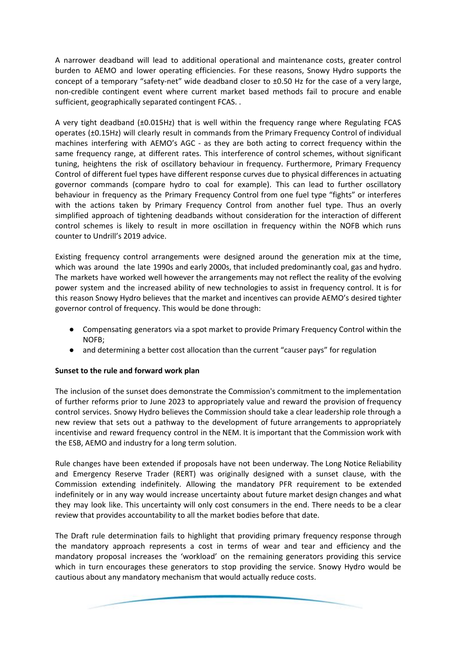A narrower deadband will lead to additional operational and maintenance costs, greater control burden to AEMO and lower operating efficiencies. For these reasons, Snowy Hydro supports the concept of a temporary "safety-net" wide deadband closer to ±0.50 Hz for the case of a very large, non-credible contingent event where current market based methods fail to procure and enable sufficient, geographically separated contingent FCAS. .

A very tight deadband (±0.015Hz) that is well within the frequency range where Regulating FCAS operates (±0.15Hz) will clearly result in commands from the Primary Frequency Control of individual machines interfering with AEMO's AGC - as they are both acting to correct frequency within the same frequency range, at different rates. This interference of control schemes, without significant tuning, heightens the risk of oscillatory behaviour in frequency. Furthermore, Primary Frequency Control of different fuel types have different response curves due to physical differences in actuating governor commands (compare hydro to coal for example). This can lead to further oscillatory behaviour in frequency as the Primary Frequency Control from one fuel type "fights" or interferes with the actions taken by Primary Frequency Control from another fuel type. Thus an overly simplified approach of tightening deadbands without consideration for the interaction of different control schemes is likely to result in more oscillation in frequency within the NOFB which runs counter to Undrill's 2019 advice.

Existing frequency control arrangements were designed around the generation mix at the time, which was around the late 1990s and early 2000s, that included predominantly coal, gas and hydro. The markets have worked well however the arrangements may not reflect the reality of the evolving power system and the increased ability of new technologies to assist in frequency control. It is for this reason Snowy Hydro believes that the market and incentives can provide AEMO's desired tighter governor control of frequency. This would be done through:

- Compensating generators via a spot market to provide Primary Frequency Control within the NOFB;
- and determining a better cost allocation than the current "causer pays" for regulation

### **Sunset to the rule and forward work plan**

The inclusion of the sunset does demonstrate the Commission's commitment to the implementation of further reforms prior to June 2023 to appropriately value and reward the provision of frequency control services. Snowy Hydro believes the Commission should take a clear leadership role through a new review that sets out a pathway to the development of future arrangements to appropriately incentivise and reward frequency control in the NEM. It is important that the Commission work with the ESB, AEMO and industry for a long term solution.

Rule changes have been extended if proposals have not been underway. The Long Notice Reliability and Emergency Reserve Trader (RERT) was originally designed with a sunset clause, with the Commission extending indefinitely. Allowing the mandatory PFR requirement to be extended indefinitely or in any way would increase uncertainty about future market design changes and what they may look like. This uncertainty will only cost consumers in the end. There needs to be a clear review that provides accountability to all the market bodies before that date.

The Draft rule determination fails to highlight that providing primary frequency response through the mandatory approach represents a cost in terms of wear and tear and efficiency and the mandatory proposal increases the 'workload' on the remaining generators providing this service which in turn encourages these generators to stop providing the service. Snowy Hydro would be cautious about any mandatory mechanism that would actually reduce costs.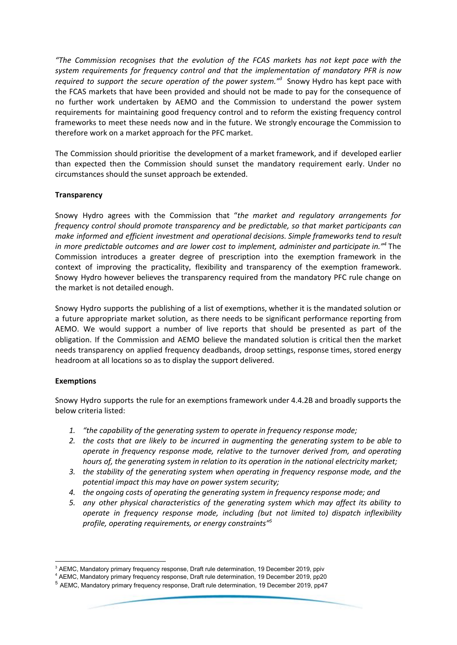*"The Commission recognises that the evolution of the FCAS markets has not kept pace with the system requirements for frequency control and that the implementation of mandatory PFR is now required to support the secure operation of the power system."* Snowy Hydro has kept pace with *3* the FCAS markets that have been provided and should not be made to pay for the consequence of no further work undertaken by AEMO and the Commission to understand the power system requirements for maintaining good frequency control and to reform the existing frequency control frameworks to meet these needs now and in the future. We strongly encourage the Commission to therefore work on a market approach for the PFC market.

The Commission should prioritise the development of a market framework, and if developed earlier than expected then the Commission should sunset the mandatory requirement early. Under no circumstances should the sunset approach be extended.

### **Transparency**

Snowy Hydro agrees with the Commission that "*the market and regulatory arrangements for frequency control should promote transparency and be predictable, so that market participants can make informed and efficient investment and operational decisions. Simple frameworks tend to result in more predictable outcomes and are lower cost to implement, administer and participate in."* The *4* Commission introduces a greater degree of prescription into the exemption framework in the context of improving the practicality, flexibility and transparency of the exemption framework. Snowy Hydro however believes the transparency required from the mandatory PFC rule change on the market is not detailed enough.

Snowy Hydro supports the publishing of a list of exemptions, whether it is the mandated solution or a future appropriate market solution, as there needs to be significant performance reporting from AEMO. We would support a number of live reports that should be presented as part of the obligation. If the Commission and AEMO believe the mandated solution is critical then the market needs transparency on applied frequency deadbands, droop settings, response times, stored energy headroom at all locations so as to display the support delivered.

### **Exemptions**

Snowy Hydro supports the rule for an exemptions framework under 4.4.2B and broadly supports the below criteria listed:

- *1. "the capability of the generating system to operate in frequency response mode;*
- *2. the costs that are likely to be incurred in augmenting the generating system to be able to operate in frequency response mode, relative to the turnover derived from, and operating hours of, the generating system in relation to its operation in the national electricity market;*
- *3. the stability of the generating system when operating in frequency response mode, and the potential impact this may have on power system security;*
- *4. the ongoing costs of operating the generating system in frequency response mode; and*
- *5. any other physical characteristics of the generating system which may affect its ability to operate in frequency response mode, including (but not limited to) dispatch inflexibility profile, operating requirements, or energy constraints" 5*

<sup>&</sup>lt;sup>3</sup> AEMC, Mandatory primary frequency response, Draft rule determination, 19 December 2019, ppiv

<sup>4</sup> AEMC, Mandatory primary frequency response, Draft rule determination, 19 December 2019, pp20

<sup>5</sup> AEMC, Mandatory primary frequency response, Draft rule determination, 19 December 2019, pp47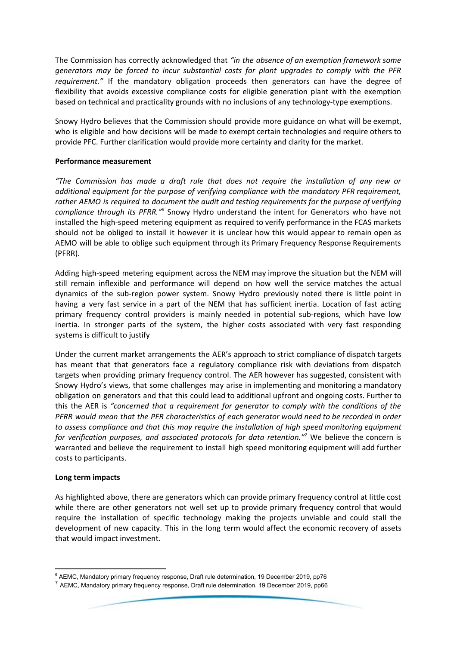The Commission has correctly acknowledged that *"in the absence of an exemption framework some generators may be forced to incur substantial costs for plant upgrades to comply with the PFR requirement."* If the mandatory obligation proceeds then generators can have the degree of flexibility that avoids excessive compliance costs for eligible generation plant with the exemption based on technical and practicality grounds with no inclusions of any technology-type exemptions.

Snowy Hydro believes that the Commission should provide more guidance on what will be exempt, who is eligible and how decisions will be made to exempt certain technologies and require others to provide PFC. Further clarification would provide more certainty and clarity for the market.

# **Performance measurement**

*"The Commission has made a draft rule that does not require the installation of any new or additional equipment for the purpose of verifying compliance with the mandatory PFR requirement, rather AEMO is required to document the audit and testing requirements for the purpose of verifying* compliance through its PFRR.<sup>"6</sup> Snowy Hydro understand the intent for Generators who have not installed the high-speed metering equipment as required to verify performance in the FCAS markets should not be obliged to install it however it is unclear how this would appear to remain open as AEMO will be able to oblige such equipment through its Primary Frequency Response Requirements (PFRR).

Adding high-speed metering equipment across the NEM may improve the situation but the NEM will still remain inflexible and performance will depend on how well the service matches the actual dynamics of the sub-region power system. Snowy Hydro previously noted there is little point in having a very fast service in a part of the NEM that has sufficient inertia. Location of fast acting primary frequency control providers is mainly needed in potential sub-regions, which have low inertia. In stronger parts of the system, the higher costs associated with very fast responding systems is difficult to justify

Under the current market arrangements the AER's approach to strict compliance of dispatch targets has meant that that generators face a regulatory compliance risk with deviations from dispatch targets when providing primary frequency control. The AER however has suggested, consistent with Snowy Hydro's views, that some challenges may arise in implementing and monitoring a mandatory obligation on generators and that this could lead to additional upfront and ongoing costs. Further to this the AER is *"concerned that a requirement for generator to comply with the conditions of the PFRR would mean that the PFR characteristics of each generator would need to be recorded in order to assess compliance and that this may require the installation of high speed monitoring equipment for verification purposes, and associated protocols for data retention."* We believe the concern is *7* warranted and believe the requirement to install high speed monitoring equipment will add further costs to participants.

### **Long term impacts**

As highlighted above, there are generators which can provide primary frequency control at little cost while there are other generators not well set up to provide primary frequency control that would require the installation of specific technology making the projects unviable and could stall the development of new capacity. This in the long term would affect the economic recovery of assets that would impact investment.

<sup>&</sup>lt;sup>6</sup> AEMC, Mandatory primary frequency response, Draft rule determination, 19 December 2019, pp76

<sup>7</sup> AEMC, Mandatory primary frequency response, Draft rule determination, 19 December 2019, pp66